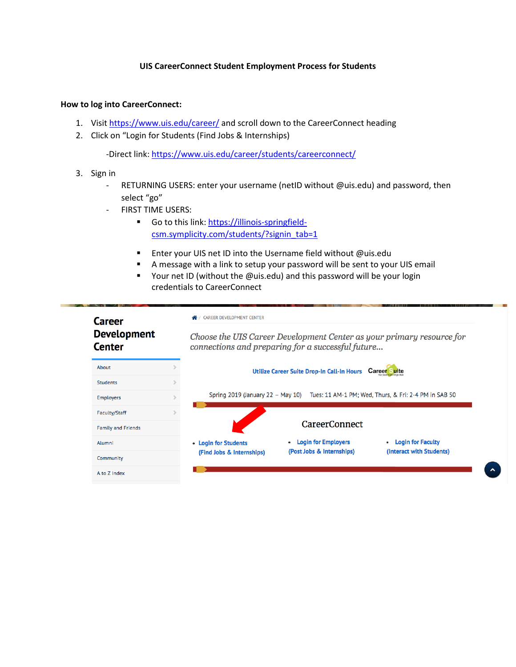#### **UIS CareerConnect Student Employment Process for Students**

#### **How to log into CareerConnect:**

- 1. Visit<https://www.uis.edu/career/> and scroll down to the CareerConnect heading
- 2. Click on "Login for Students (Find Jobs & Internships)

-Direct link:<https://www.uis.edu/career/students/careerconnect/>

- 3. Sign in
	- RETURNING USERS: enter your username (netID without @uis.edu) and password, then select "go"
	- FIRST TIME USERS:
		- Go to this link: [https://illinois-springfield](https://illinois-springfield-csm.symplicity.com/students/?signin_tab=1)[csm.symplicity.com/students/?signin\\_tab=1](https://illinois-springfield-csm.symplicity.com/students/?signin_tab=1)
		- Enter your UIS net ID into the Username field without @uis.edu
		- A message with a link to setup your password will be sent to your UIS email
		- Your net ID (without the @uis.edu) and this password will be your login credentials to CareerConnect

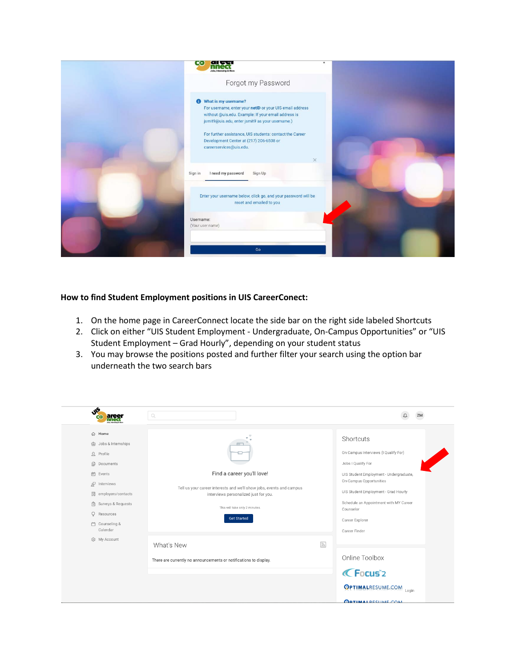

## **How to find Student Employment positions in UIS CareerConect:**

- 1. On the home page in CareerConnect locate the side bar on the right side labeled Shortcuts
- 2. Click on either "UIS Student Employment Undergraduate, On-Campus Opportunities" or "UIS Student Employment – Grad Hourly", depending on your student status
- 3. You may browse the positions posted and further filter your search using the option bar underneath the two search bars

| <b>SIS</b>                                                                                                                                                                                                                       | $\mathbb{Q}$                                                                                                                                                                                        |                                                                                                                                                                                                                                                                                  |
|----------------------------------------------------------------------------------------------------------------------------------------------------------------------------------------------------------------------------------|-----------------------------------------------------------------------------------------------------------------------------------------------------------------------------------------------------|----------------------------------------------------------------------------------------------------------------------------------------------------------------------------------------------------------------------------------------------------------------------------------|
| ∩ Home<br>+ Jobs & Internships<br>$\Omega$ Profile<br><b>B</b> Documents<br><b>□</b> Events<br>p Interviews<br><b>圆</b> employers/contacts<br>Surveys & Requests<br>Ō<br>Resources<br>□ Counseling &<br>Calendar<br>@ My Account | Find a career you'll love!<br>Tell us your career interests and we'll show jobs, events and campus<br>interviews personalized just for you.<br>This will take only 2 minutes.<br><b>Get Started</b> | Shortcuts<br>On Campus Interviews (I Qualify For)<br>Jobs I Qualify For<br>UIS Student Employment - Undergraduate,<br>On-Campus Opportunities<br>UIS Student Employment - Grad Hourly<br>Schedule an Appointment with MY Career<br>Counselor<br>Career Explorer<br>Career Finder |
|                                                                                                                                                                                                                                  | $\mathbb{Z}$<br>What's New<br>There are currently no announcements or notifications to display.                                                                                                     | Online Toolbox<br><b>CFocus</b> <sup>2</sup><br><b>OPTIMALRESUME.COM</b> Login                                                                                                                                                                                                   |
|                                                                                                                                                                                                                                  |                                                                                                                                                                                                     | <b>ORTIMALRESLIME COM</b>                                                                                                                                                                                                                                                        |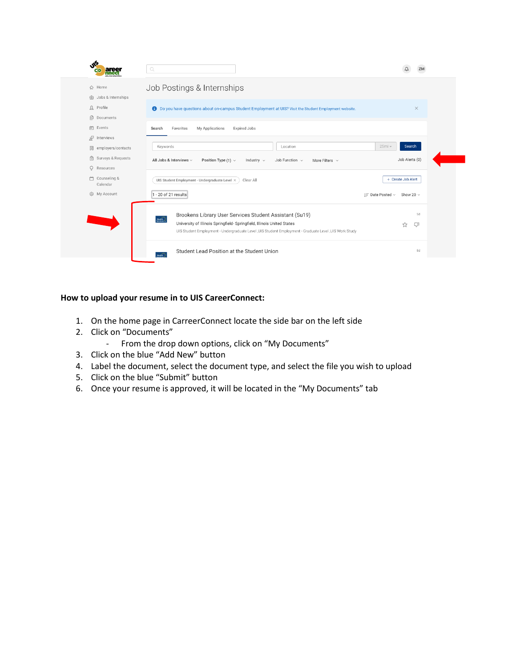| ۰۴.                                    | $\mathbb{Q}$                                                                                                                                                                     |                                            |
|----------------------------------------|----------------------------------------------------------------------------------------------------------------------------------------------------------------------------------|--------------------------------------------|
| <b>命</b> Home<br>命 Jobs & Internships  | Job Postings & Internships                                                                                                                                                       |                                            |
| $\Omega$ Profile<br>ß<br>Documents     | <b>6</b> Do you have questions about on-campus Student Employment at UIS? Visit the Student Employment website.                                                                  | $\times$                                   |
| in Events<br>g <sub>2</sub> Interviews | Favorites<br>My Applications<br><b>Expired Jobs</b><br>Search                                                                                                                    |                                            |
| 開 employers/contacts                   | Keywords<br>Location                                                                                                                                                             | 25mi<br>Search                             |
| ( Surveys & Requests<br>O<br>Resources | All Jobs & Interviews $\sim$<br>Position Type (1) $\vee$<br>Job Function $\sim$<br>Industry $\sim$<br>More Filters $\vee$                                                        | Job Alerts (0)                             |
| m<br>Counseling &<br>Calendar          | UIS Student Employment - Undergraduate Level X<br>Clear All                                                                                                                      | + Create Job Alert                         |
| @ My Account                           | 1 - 20 of 21 results                                                                                                                                                             | $I =$ Date Posted $\sim$<br>Show 20 $\sim$ |
|                                        | Brookens Library User Services Student Assistant (Su19)<br>$\sum_{\text{SINC} \in \mathcal{L}}$                                                                                  | 5d                                         |
|                                        | University of Illinois Springfield- Springfield, Illinois United States<br>UIS Student Employment - Undergraduate Level ,UIS Student Employment - Graduate Level ,UIS Work Study | ☆<br>LJI                                   |
|                                        | Student Lead Position at the Student Union<br>$H$ ealth                                                                                                                          | 8d                                         |

# **How to upload your resume in to UIS CareerConnect:**

- 1. On the home page in CarreerConnect locate the side bar on the left side
- 2. Click on "Documents"
	- From the drop down options, click on "My Documents"
- 3. Click on the blue "Add New" button
- 4. Label the document, select the document type, and select the file you wish to upload
- 5. Click on the blue "Submit" button
- 6. Once your resume is approved, it will be located in the "My Documents" tab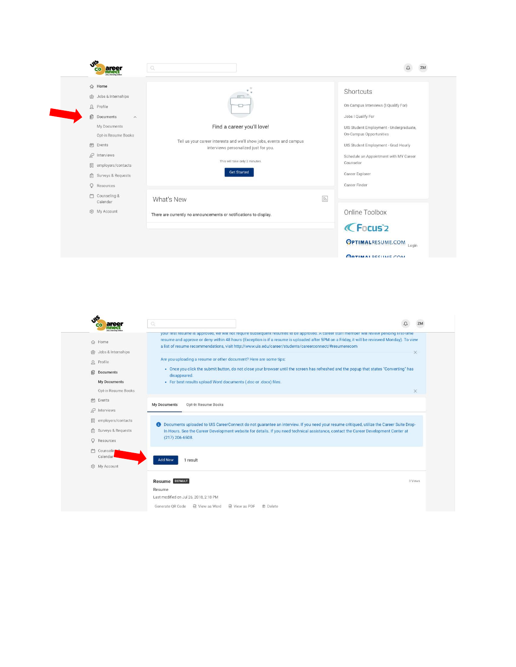

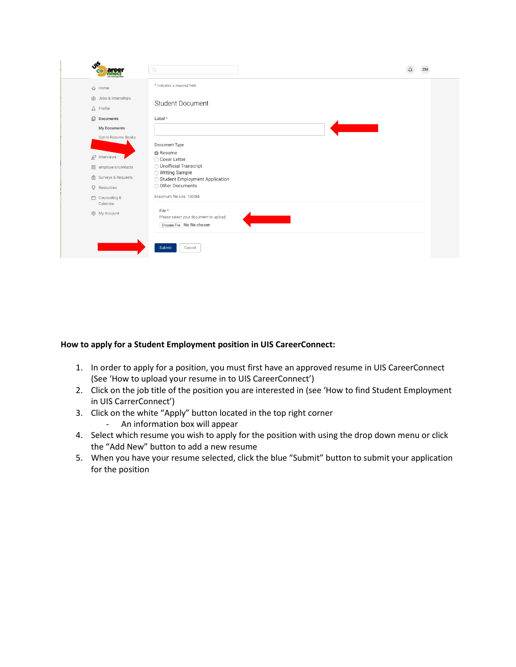| JF<br>are<br>ൈ<br>nnea                              | $\mathbb{Q}$                                                                   | ΖM |
|-----------------------------------------------------|--------------------------------------------------------------------------------|----|
| 命 Home                                              | * indicates a required field                                                   |    |
| <b>合 Jobs &amp; Internships</b><br><u>凡</u> Profile | <b>Student Document</b>                                                        |    |
| <b>Documents</b>                                    | Label*                                                                         |    |
| My Documents                                        |                                                                                |    |
| Opt-in Resume Books                                 | Document Type                                                                  |    |
| $\mathbb{R}^7$ Interviews                           | <b>O</b> Resume<br>○ Cover Letter                                              |    |
| 開 employers/contacts                                | ◯ Unofficial Transcript<br>◯ Writing Sample                                    |    |
| <b>■</b> Surveys & Requests                         | ◯ Student Employment Application                                               |    |
| $Q$ Resources                                       | O Other Documents                                                              |    |
| Counseling &<br>Calendar                            | Maximum file size: 1500kb                                                      |    |
| @ My Account                                        | File *<br>Please select your document to upload.<br>Choose File No file chosen |    |
|                                                     | Submit<br>Cancel                                                               |    |

## **How to apply for a Student Employment position in UIS CareerConnect:**

- 1. In order to apply for a position, you must first have an approved resume in UIS CareerConnect (See 'How to upload your resume in to UIS CareerConnect')
- 2. Click on the job title of the position you are interested in (see 'How to find Student Employment in UIS CarrerConnect')
- 3. Click on the white "Apply" button located in the top right corner - An information box will appear
- 4. Select which resume you wish to apply for the position with using the drop down menu or click the "Add New" button to add a new resume
- 5. When you have your resume selected, click the blue "Submit" button to submit your application for the position